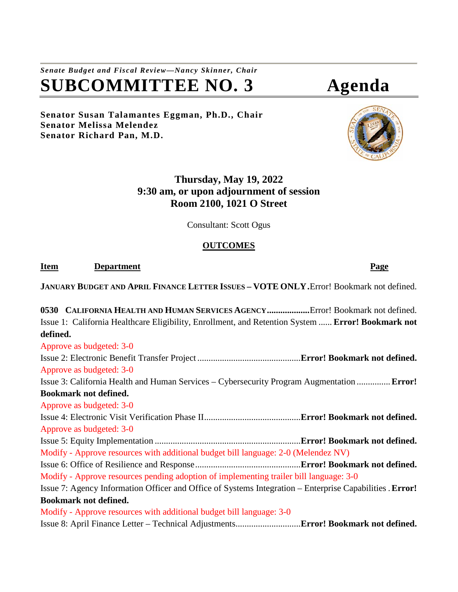*Senate Budget and Fiscal Review—Nancy Skinner, Chair* **SUBCOMMITTEE NO. 3 Agenda**

**Senator Susan Talamantes Eggman, Ph.D., Chair Senator Melissa Melendez Senator Richard Pan, M.D.**

# **Thursday, May 19, 2022 9:30 am, or upon adjournment of session Room 2100, 1021 O Street**

Consultant: Scott Ogus

## **OUTCOMES**

**Item Department Page** 

**JANUARY BUDGET AND APRIL FINANCE LETTER ISSUES – VOTE ONLY.**Error! Bookmark not defined.

**0530 CALIFORNIA HEALTH AND HUMAN SERVICES AGENCY...................**Error! Bookmark not defined. Issue 1: California Healthcare Eligibility, Enrollment, and Retention System ...... **Error! Bookmark not defined.** Approve as budgeted: 3-0 Issue 2: Electronic Benefit Transfer Project ..............................................**Error! Bookmark not defined.** Approve as budgeted: 3-0 Issue 3: California Health and Human Services – Cybersecurity Program Augmentation ...............**Error! Bookmark not defined.** Approve as budgeted: 3-0 Issue 4: Electronic Visit Verification Phase II...........................................**Error! Bookmark not defined.** Approve as budgeted: 3-0 Issue 5: Equity Implementation .................................................................**Error! Bookmark not defined.** Modify - Approve resources with additional budget bill language: 2-0 (Melendez NV) Issue 6: Office of Resilience and Response...............................................**Error! Bookmark not defined.** Modify - Approve resources pending adoption of implementing trailer bill language: 3-0 Issue 7: Agency Information Officer and Office of Systems Integration – Enterprise Capabilities .**Error! Bookmark not defined.** Modify - Approve resources with additional budget bill language: 3-0 Issue 8: April Finance Letter – Technical Adjustments.............................**Error! Bookmark not defined.**

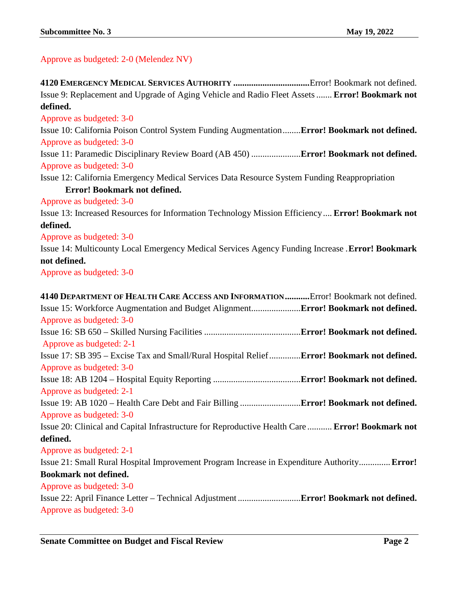Approve as budgeted: 2-0 (Melendez NV)

| Issue 9: Replacement and Upgrade of Aging Vehicle and Radio Fleet Assets  Error! Bookmark not    |
|--------------------------------------------------------------------------------------------------|
| defined.                                                                                         |
| Approve as budgeted: 3-0                                                                         |
| Issue 10: California Poison Control System Funding AugmentationError! Bookmark not defined.      |
| Approve as budgeted: 3-0                                                                         |
| Issue 11: Paramedic Disciplinary Review Board (AB 450)  Error! Bookmark not defined.             |
| Approve as budgeted: 3-0                                                                         |
| Issue 12: California Emergency Medical Services Data Resource System Funding Reappropriation     |
| <b>Error! Bookmark not defined.</b>                                                              |
| Approve as budgeted: 3-0                                                                         |
| Issue 13: Increased Resources for Information Technology Mission Efficiency Error! Bookmark not  |
| defined.                                                                                         |
| Approve as budgeted: 3-0                                                                         |
| Issue 14: Multicounty Local Emergency Medical Services Agency Funding Increase . Error! Bookmark |
| not defined.                                                                                     |
| Approve as budgeted: 3-0                                                                         |
|                                                                                                  |
| 4140 DEPARTMENT OF HEALTH CARE ACCESS AND INFORMATIONError! Bookmark not defined.                |
| Issue 15: Workforce Augmentation and Budget Alignment Error! Bookmark not defined.               |
| Approve as budgeted: 3-0                                                                         |
|                                                                                                  |
| Approve as budgeted: 2-1                                                                         |
| Issue 17: SB 395 - Excise Tax and Small/Rural Hospital Relief Error! Bookmark not defined.       |
| Approve as budgeted: 3-0                                                                         |
|                                                                                                  |
| Approve as budgeted: 2-1                                                                         |
|                                                                                                  |
| Approve as budgeted: 3-0                                                                         |
| Issue 20: Clinical and Capital Infrastructure for Reproductive Health Care  Error! Bookmark not  |
| defined.                                                                                         |
| Approve as budgeted: 2-1                                                                         |
| Issue 21: Small Rural Hospital Improvement Program Increase in Expenditure Authority Error!      |
| Bookmark not defined.                                                                            |

Approve as budgeted: 3-0

Issue 22: April Finance Letter – Technical Adjustment ............................**Error! Bookmark not defined.** Approve as budgeted: 3-0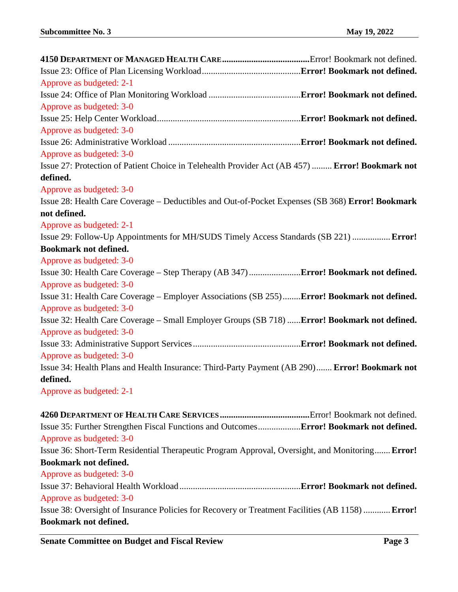| Approve as budgeted: 2-1                                                                         |  |
|--------------------------------------------------------------------------------------------------|--|
|                                                                                                  |  |
| Approve as budgeted: 3-0                                                                         |  |
|                                                                                                  |  |
| Approve as budgeted: 3-0                                                                         |  |
|                                                                                                  |  |
| Approve as budgeted: 3-0                                                                         |  |
| Issue 27: Protection of Patient Choice in Telehealth Provider Act (AB 457)  Error! Bookmark not  |  |
| defined.                                                                                         |  |
| Approve as budgeted: 3-0                                                                         |  |
| Issue 28: Health Care Coverage – Deductibles and Out-of-Pocket Expenses (SB 368) Error! Bookmark |  |
| not defined.                                                                                     |  |
| Approve as budgeted: 2-1                                                                         |  |
| Issue 29: Follow-Up Appointments for MH/SUDS Timely Access Standards (SB 221)  Error!            |  |
| <b>Bookmark not defined.</b>                                                                     |  |
| Approve as budgeted: 3-0                                                                         |  |
|                                                                                                  |  |
| Approve as budgeted: 3-0                                                                         |  |
| Issue 31: Health Care Coverage – Employer Associations (SB 255)Error! Bookmark not defined.      |  |
| Approve as budgeted: 3-0                                                                         |  |
| Issue 32: Health Care Coverage - Small Employer Groups (SB 718)  Error! Bookmark not defined.    |  |
| Approve as budgeted: 3-0                                                                         |  |
|                                                                                                  |  |
| Approve as budgeted: 3-0                                                                         |  |
| Issue 34: Health Plans and Health Insurance: Third-Party Payment (AB 290) Error! Bookmark not    |  |
| defined.                                                                                         |  |
| Approve as budgeted: 2-1                                                                         |  |

**4260 DEPARTMENT OF HEALTH CARE SERVICES ........................................**Error! Bookmark not defined. Issue 35: Further Strengthen Fiscal Functions and Outcomes...................**Error! Bookmark not defined.** Approve as budgeted: 3-0 Issue 36: Short-Term Residential Therapeutic Program Approval, Oversight, and Monitoring.......**Error! Bookmark not defined.** Approve as budgeted: 3-0 Issue 37: Behavioral Health Workload......................................................**Error! Bookmark not defined.** Approve as budgeted: 3-0 Issue 38: Oversight of Insurance Policies for Recovery or Treatment Facilities (AB 1158) ............**Error! Bookmark not defined.**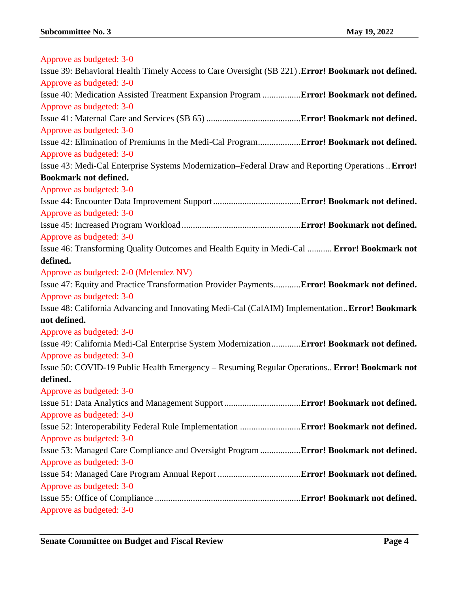| Approve as budgeted: 3-0                                                                           |  |
|----------------------------------------------------------------------------------------------------|--|
| Issue 39: Behavioral Health Timely Access to Care Oversight (SB 221). Error! Bookmark not defined. |  |
| Approve as budgeted: 3-0                                                                           |  |
| Issue 40: Medication Assisted Treatment Expansion Program Error! Bookmark not defined.             |  |
| Approve as budgeted: 3-0                                                                           |  |
|                                                                                                    |  |
| Approve as budgeted: 3-0                                                                           |  |
| Issue 42: Elimination of Premiums in the Medi-Cal Program Error! Bookmark not defined.             |  |
| Approve as budgeted: 3-0                                                                           |  |
| Issue 43: Medi-Cal Enterprise Systems Modernization–Federal Draw and Reporting Operations  Error!  |  |
| <b>Bookmark not defined.</b>                                                                       |  |
| Approve as budgeted: 3-0                                                                           |  |
|                                                                                                    |  |
| Approve as budgeted: 3-0                                                                           |  |
|                                                                                                    |  |
| Approve as budgeted: 3-0                                                                           |  |
| Issue 46: Transforming Quality Outcomes and Health Equity in Medi-Cal  Error! Bookmark not         |  |
| defined.                                                                                           |  |
| Approve as budgeted: 2-0 (Melendez NV)                                                             |  |
| Issue 47: Equity and Practice Transformation Provider PaymentsError! Bookmark not defined.         |  |
| Approve as budgeted: 3-0                                                                           |  |
| Issue 48: California Advancing and Innovating Medi-Cal (CalAIM) ImplementationError! Bookmark      |  |
| not defined.                                                                                       |  |
| Approve as budgeted: 3-0                                                                           |  |
| Issue 49: California Medi-Cal Enterprise System ModernizationError! Bookmark not defined.          |  |
| Approve as budgeted: 3-0                                                                           |  |
| Issue 50: COVID-19 Public Health Emergency - Resuming Regular Operations Error! Bookmark not       |  |
| defined.                                                                                           |  |
| Approve as budgeted: 3-0                                                                           |  |
|                                                                                                    |  |
| Approve as budgeted: 3-0                                                                           |  |
|                                                                                                    |  |
| Approve as budgeted: 3-0                                                                           |  |
| Issue 53: Managed Care Compliance and Oversight Program  Error! Bookmark not defined.              |  |
| Approve as budgeted: 3-0                                                                           |  |
|                                                                                                    |  |
| Approve as budgeted: 3-0                                                                           |  |
|                                                                                                    |  |
| Approve as budgeted: 3-0                                                                           |  |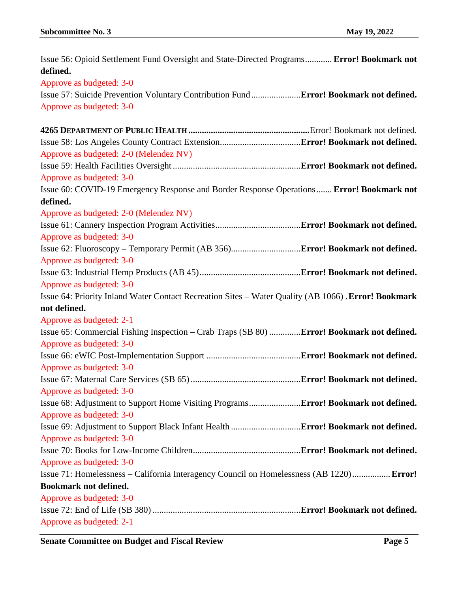| Issue 56: Opioid Settlement Fund Oversight and State-Directed Programs Error! Bookmark not           |  |
|------------------------------------------------------------------------------------------------------|--|
| defined.                                                                                             |  |
| Approve as budgeted: 3-0                                                                             |  |
|                                                                                                      |  |
| Approve as budgeted: 3-0                                                                             |  |
|                                                                                                      |  |
|                                                                                                      |  |
| Approve as budgeted: 2-0 (Melendez NV)                                                               |  |
|                                                                                                      |  |
| Approve as budgeted: 3-0                                                                             |  |
| Issue 60: COVID-19 Emergency Response and Border Response Operations Error! Bookmark not             |  |
| defined.                                                                                             |  |
| Approve as budgeted: 2-0 (Melendez NV)                                                               |  |
|                                                                                                      |  |
| Approve as budgeted: 3-0                                                                             |  |
|                                                                                                      |  |
| Approve as budgeted: 3-0                                                                             |  |
|                                                                                                      |  |
| Approve as budgeted: 3-0                                                                             |  |
| Issue 64: Priority Inland Water Contact Recreation Sites - Water Quality (AB 1066) . Error! Bookmark |  |
| not defined.                                                                                         |  |
| Approve as budgeted: 2-1                                                                             |  |
| Issue 65: Commercial Fishing Inspection - Crab Traps (SB 80) Error! Bookmark not defined.            |  |
| Approve as budgeted: 3-0                                                                             |  |
|                                                                                                      |  |
| Approve as budgeted: 3-0                                                                             |  |
|                                                                                                      |  |
| Approve as budgeted: 3-0                                                                             |  |
|                                                                                                      |  |
| Approve as budgeted: 3-0                                                                             |  |
|                                                                                                      |  |
| Approve as budgeted: 3-0                                                                             |  |
|                                                                                                      |  |
| Approve as budgeted: 3-0                                                                             |  |
| Issue 71: Homelessness – California Interagency Council on Homelessness (AB 1220) Error!             |  |
| <b>Bookmark not defined.</b>                                                                         |  |
| Approve as budgeted: 3-0                                                                             |  |
|                                                                                                      |  |
| Approve as budgeted: 2-1                                                                             |  |

**Senate Committee on Budget and Fiscal Review Page 5**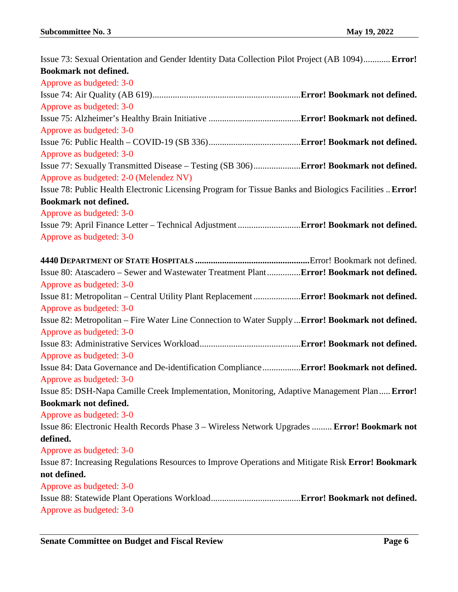| Issue 73: Sexual Orientation and Gender Identity Data Collection Pilot Project (AB 1094) Error!        |
|--------------------------------------------------------------------------------------------------------|
| <b>Bookmark not defined.</b>                                                                           |
| Approve as budgeted: 3-0                                                                               |
|                                                                                                        |
| Approve as budgeted: 3-0                                                                               |
|                                                                                                        |
| Approve as budgeted: 3-0                                                                               |
|                                                                                                        |
| Approve as budgeted: 3-0                                                                               |
| Issue 77: Sexually Transmitted Disease - Testing (SB 306) Error! Bookmark not defined.                 |
| Approve as budgeted: 2-0 (Melendez NV)                                                                 |
| Issue 78: Public Health Electronic Licensing Program for Tissue Banks and Biologics Facilities  Error! |
| <b>Bookmark not defined.</b>                                                                           |
| Approve as budgeted: 3-0                                                                               |
|                                                                                                        |
| Approve as budgeted: 3-0                                                                               |
|                                                                                                        |
| Issue 80: Atascadero - Sewer and Wastewater Treatment PlantError! Bookmark not defined.                |
| Approve as budgeted: 3-0                                                                               |
| Issue 81: Metropolitan - Central Utility Plant Replacement  Error! Bookmark not defined.               |
| Approve as budgeted: 3-0                                                                               |
| Issue 82: Metropolitan – Fire Water Line Connection to Water Supply  Error! Bookmark not defined.      |
| Approve as budgeted: 3-0                                                                               |
|                                                                                                        |
| Approve as budgeted: 3-0                                                                               |
| Issue 84: Data Governance and De-identification ComplianceError! Bookmark not defined.                 |
| Approve as budgeted: 3-0                                                                               |
| Issue 85: DSH-Napa Camille Creek Implementation, Monitoring, Adaptive Management Plan Error!           |
| Bookmark not defined.                                                                                  |
| Approve as budgeted: 3-0                                                                               |
| Issue 86: Electronic Health Records Phase 3 - Wireless Network Upgrades  Error! Bookmark not           |
| defined.                                                                                               |
| Approve as budgeted: 3-0                                                                               |
| Issue 87: Increasing Regulations Resources to Improve Operations and Mitigate Risk Error! Bookmark     |
| not defined.                                                                                           |
| Approve as budgeted: 3-0                                                                               |
|                                                                                                        |
| Approve as budgeted: 3-0                                                                               |